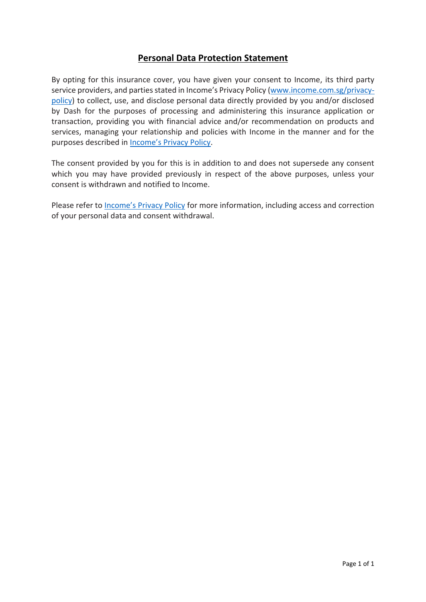# **Personal Data Protection Statement**

By opting for this insurance cover, you have given your consent to Income, its third party service providers, and parties stated in Income's Privacy Policy [\(www.income.com.sg/privacy](http://www.income.com.sg/privacy-policy)[policy\)](http://www.income.com.sg/privacy-policy) to collect, use, and disclose personal data directly provided by you and/or disclosed by Dash for the purposes of processing and administering this insurance application or transaction, providing you with financial advice and/or recommendation on products and services, managing your relationship and policies with Income in the manner and for the purposes described in [Income's Privacy Policy](https://www.income.com.sg/privacy-policy).

The consent provided by you for this is in addition to and does not supersede any consent which you may have provided previously in respect of the above purposes, unless your consent is withdrawn and notified to Income.

Please refer to **[Income's Privacy Policy](https://www.income.com.sg/privacy-policy)** for more information, including access and correction of your personal data and consent withdrawal.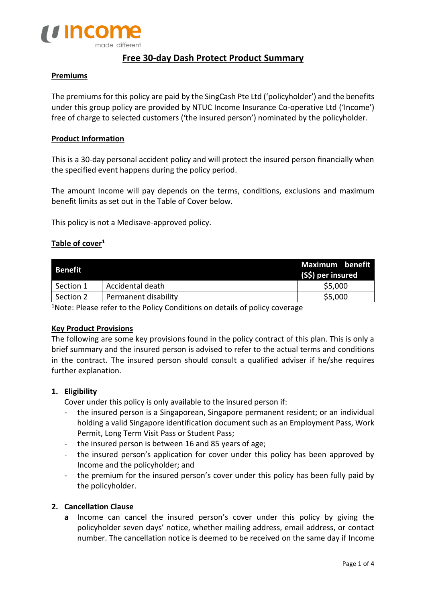

# **Free 30-day Dash Protect Product Summary**

## **Premiums**

The premiums for this policy are paid by the SingCash Pte Ltd ('policyholder') and the benefits under this group policy are provided by NTUC Income Insurance Co-operative Ltd ('Income') free of charge to selected customers ('the insured person') nominated by the policyholder.

## **Product Information**

This is a 30-day personal accident policy and will protect the insured person financially when the specified event happens during the policy period.

The amount Income will pay depends on the terms, conditions, exclusions and maximum benefit limits as set out in the Table of Cover below.

This policy is not a Medisave-approved policy.

# **Table of cover<sup>1</sup>**

| Benefit   |                      | Maximum benefit<br>(S\$) per insured |  |
|-----------|----------------------|--------------------------------------|--|
| Section 1 | Accidental death     | \$5,000                              |  |
| Section 2 | Permanent disability | \$5,000                              |  |

<sup>1</sup>Note: Please refer to the Policy Conditions on details of policy coverage

#### **Key Product Provisions**

The following are some key provisions found in the policy contract of this plan. This is only a brief summary and the insured person is advised to refer to the actual terms and conditions in the contract. The insured person should consult a qualified adviser if he/she requires further explanation.

#### **1. Eligibility**

Cover under this policy is only available to the insured person if:

- the insured person is a Singaporean, Singapore permanent resident; or an individual holding a valid Singapore identification document such as an Employment Pass, Work Permit, Long Term Visit Pass or Student Pass;
- the insured person is between 16 and 85 years of age;
- the insured person's application for cover under this policy has been approved by Income and the policyholder; and
- the premium for the insured person's cover under this policy has been fully paid by the policyholder.

## **2. Cancellation Clause**

**a** Income can cancel the insured person's cover under this policy by giving the policyholder seven days' notice, whether mailing address, email address, or contact number. The cancellation notice is deemed to be received on the same day if Income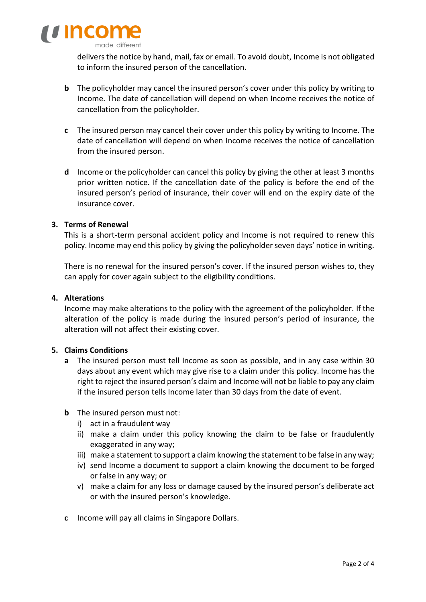

deliversthe notice by hand, mail, fax or email. To avoid doubt, Income is not obligated to inform the insured person of the cancellation.

- **b** The policyholder may cancel the insured person's cover under this policy by writing to Income. The date of cancellation will depend on when Income receives the notice of cancellation from the policyholder.
- **c** The insured person may cancel their cover under this policy by writing to Income. The date of cancellation will depend on when Income receives the notice of cancellation from the insured person.
- **d** Income or the policyholder can cancel this policy by giving the other at least 3 months prior written notice. If the cancellation date of the policy is before the end of the insured person's period of insurance, their cover will end on the expiry date of the insurance cover.

## **3. Terms of Renewal**

This is a short-term personal accident policy and Income is not required to renew this policy. Income may end this policy by giving the policyholder seven days' notice in writing.

There is no renewal for the insured person's cover. If the insured person wishes to, they can apply for cover again subject to the eligibility conditions.

## **4. Alterations**

Income may make alterations to the policy with the agreement of the policyholder. If the alteration of the policy is made during the insured person's period of insurance, the alteration will not affect their existing cover.

# **5. Claims Conditions**

- **a** The insured person must tell Income as soon as possible, and in any case within 30 days about any event which may give rise to a claim under this policy. Income has the right to reject the insured person's claim and Income will not be liable to pay any claim if the insured person tells Income later than 30 days from the date of event.
- **b** The insured person must not:
	- i) act in a fraudulent way
	- ii) make a claim under this policy knowing the claim to be false or fraudulently exaggerated in any way;
	- iii) make a statement to support a claim knowing the statement to be false in any way;
	- iv) send Income a document to support a claim knowing the document to be forged or false in any way; or
	- v) make a claim for any loss or damage caused by the insured person's deliberate act or with the insured person's knowledge.
- **c** Income will pay all claims in Singapore Dollars.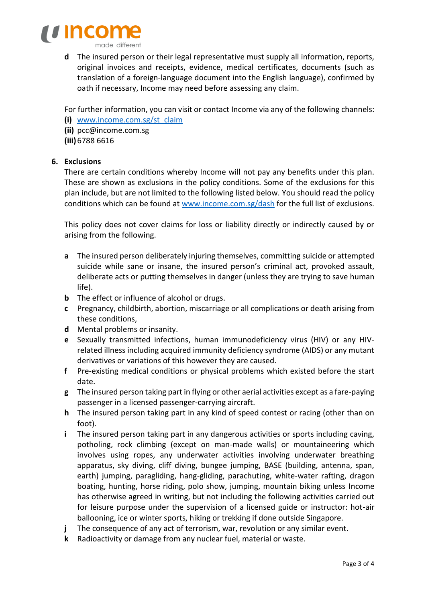

**d** The insured person or their legal representative must supply all information, reports, original invoices and receipts, evidence, medical certificates, documents (such as translation of a foreign-language document into the English language), confirmed by oath if necessary, Income may need before assessing any claim.

For further information, you can visit or contact Income via any of the following channels:

- **(i)** [www.income.com.sg/st\\_claim](http://www.income.com.sg/st_claim)
- **(ii)** [pcc@income.com.sg](mailto:pcc@income.com.sg)
- **(iii)** 6788 6616

# **6. Exclusions**

There are certain conditions whereby Income will not pay any benefits under this plan. These are shown as exclusions in the policy conditions. Some of the exclusions for this plan include, but are not limited to the following listed below. You should read the policy conditions which can be found at [www.income.com.sg/dash](http://www.income.com.sg/dash) for the full list of exclusions.

This policy does not cover claims for loss or liability directly or indirectly caused by or arising from the following.

- **a** The insured person deliberately injuring themselves, committing suicide or attempted suicide while sane or insane, the insured person's criminal act, provoked assault, deliberate acts or putting themselves in danger (unless they are trying to save human life).
- **b** The effect or influence of alcohol or drugs.
- **c** Pregnancy, childbirth, abortion, miscarriage or all complications or death arising from these conditions,
- **d** Mental problems or insanity.
- **e** Sexually transmitted infections, human immunodeficiency virus (HIV) or any HIVrelated illness including acquired immunity deficiency syndrome (AIDS) or any mutant derivatives or variations of this however they are caused.
- **f** Pre-existing medical conditions or physical problems which existed before the start date.
- **g** The insured person taking part in flying or other aerial activities except as a fare-paying passenger in a licensed passenger-carrying aircraft.
- **h** The insured person taking part in any kind of speed contest or racing (other than on foot).
- **i** The insured person taking part in any dangerous activities or sports including caving, potholing, rock climbing (except on man-made walls) or mountaineering which involves using ropes, any underwater activities involving underwater breathing apparatus, sky diving, cliff diving, bungee jumping, BASE (building, antenna, span, earth) jumping, paragliding, hang-gliding, parachuting, white-water rafting, dragon boating, hunting, horse riding, polo show, jumping, mountain biking unless Income has otherwise agreed in writing, but not including the following activities carried out for leisure purpose under the supervision of a licensed guide or instructor: hot-air ballooning, ice or winter sports, hiking or trekking if done outside Singapore.
- **j** The consequence of any act of terrorism, war, revolution or any similar event.
- **k** Radioactivity or damage from any nuclear fuel, material or waste.